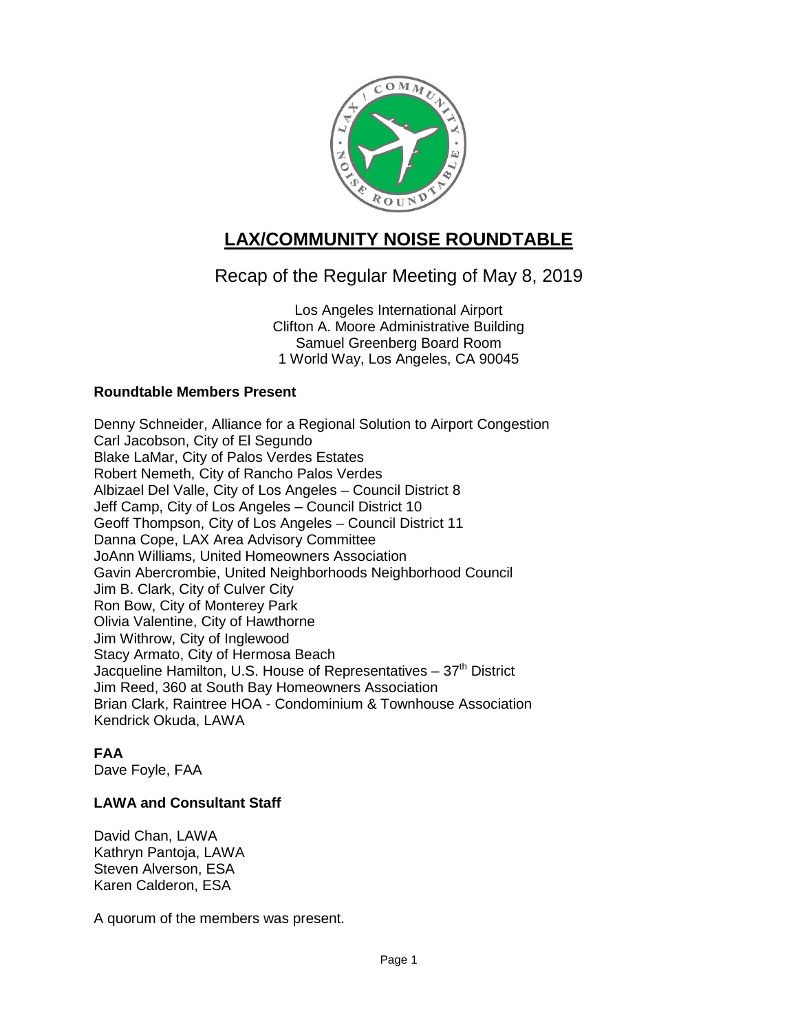

# **LAX/COMMUNITY NOISE ROUNDTABLE**

## Recap of the Regular Meeting of May 8, 2019

Los Angeles International Airport Clifton A. Moore Administrative Building Samuel Greenberg Board Room 1 World Way, Los Angeles, CA 90045

## **Roundtable Members Present**

Denny Schneider, Alliance for a Regional Solution to Airport Congestion Carl Jacobson, City of El Segundo Blake LaMar, City of Palos Verdes Estates Robert Nemeth, City of Rancho Palos Verdes Albizael Del Valle, City of Los Angeles – Council District 8 Jeff Camp, City of Los Angeles – Council District 10 Geoff Thompson, City of Los Angeles – Council District 11 Danna Cope, LAX Area Advisory Committee JoAnn Williams, United Homeowners Association Gavin Abercrombie, United Neighborhoods Neighborhood Council Jim B. Clark, City of Culver City Ron Bow, City of Monterey Park Olivia Valentine, City of Hawthorne Jim Withrow, City of Inglewood Stacy Armato, City of Hermosa Beach Jacqueline Hamilton, U.S. House of Representatives  $-37<sup>th</sup>$  District Jim Reed, 360 at South Bay Homeowners Association Brian Clark, Raintree HOA - Condominium & Townhouse Association Kendrick Okuda, LAWA

## **FAA**

Dave Foyle, FAA

## **LAWA and Consultant Staff**

David Chan, LAWA Kathryn Pantoja, LAWA Steven Alverson, ESA Karen Calderon, ESA

A quorum of the members was present.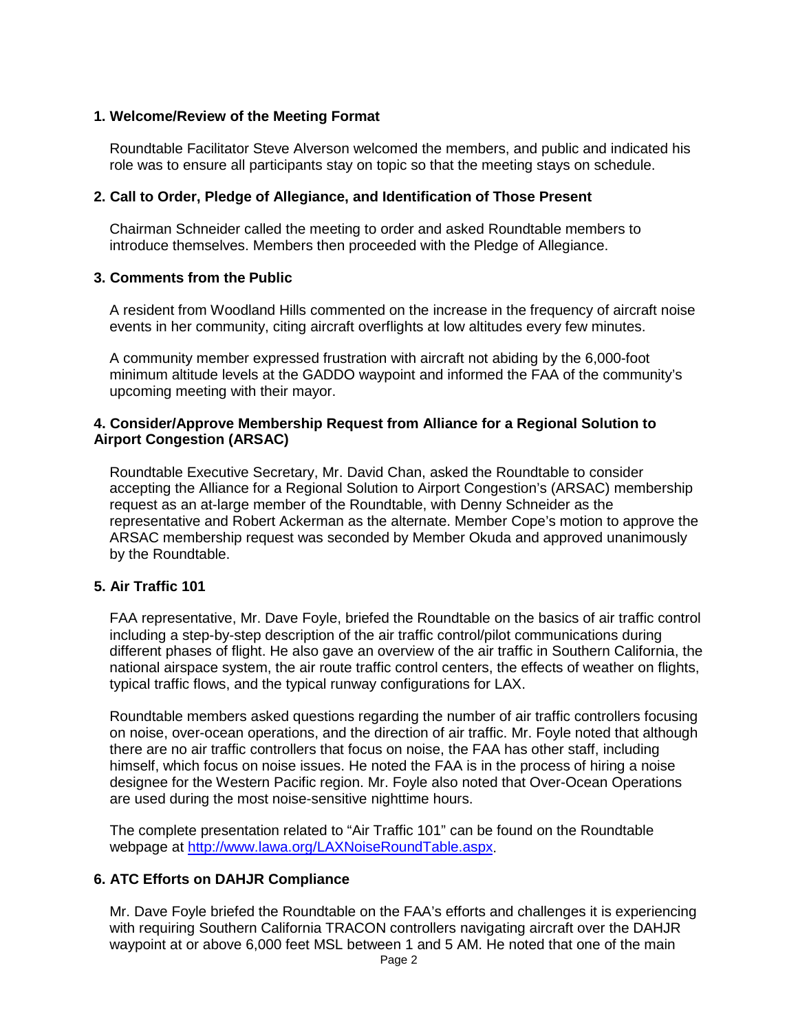#### **1. Welcome/Review of the Meeting Format**

Roundtable Facilitator Steve Alverson welcomed the members, and public and indicated his role was to ensure all participants stay on topic so that the meeting stays on schedule.

#### **2. Call to Order, Pledge of Allegiance, and Identification of Those Present**

Chairman Schneider called the meeting to order and asked Roundtable members to introduce themselves. Members then proceeded with the Pledge of Allegiance.

#### **3. Comments from the Public**

A resident from Woodland Hills commented on the increase in the frequency of aircraft noise events in her community, citing aircraft overflights at low altitudes every few minutes.

A community member expressed frustration with aircraft not abiding by the 6,000-foot minimum altitude levels at the GADDO waypoint and informed the FAA of the community's upcoming meeting with their mayor.

#### **4. Consider/Approve Membership Request from Alliance for a Regional Solution to Airport Congestion (ARSAC)**

Roundtable Executive Secretary, Mr. David Chan, asked the Roundtable to consider accepting the Alliance for a Regional Solution to Airport Congestion's (ARSAC) membership request as an at-large member of the Roundtable, with Denny Schneider as the representative and Robert Ackerman as the alternate. Member Cope's motion to approve the ARSAC membership request was seconded by Member Okuda and approved unanimously by the Roundtable.

#### **5. Air Traffic 101**

FAA representative, Mr. Dave Foyle, briefed the Roundtable on the basics of air traffic control including a step-by-step description of the air traffic control/pilot communications during different phases of flight. He also gave an overview of the air traffic in Southern California, the national airspace system, the air route traffic control centers, the effects of weather on flights, typical traffic flows, and the typical runway configurations for LAX.

Roundtable members asked questions regarding the number of air traffic controllers focusing on noise, over-ocean operations, and the direction of air traffic. Mr. Foyle noted that although there are no air traffic controllers that focus on noise, the FAA has other staff, including himself, which focus on noise issues. He noted the FAA is in the process of hiring a noise designee for the Western Pacific region. Mr. Foyle also noted that Over-Ocean Operations are used during the most noise-sensitive nighttime hours.

The complete presentation related to "Air Traffic 101" can be found on the Roundtable webpage at [http://www.lawa.org/LAXNoiseRoundTable.aspx.](http://www.lawa.org/LAXNoiseRoundTable.aspx)

#### **6. ATC Efforts on DAHJR Compliance**

Mr. Dave Foyle briefed the Roundtable on the FAA's efforts and challenges it is experiencing with requiring Southern California TRACON controllers navigating aircraft over the DAHJR waypoint at or above 6,000 feet MSL between 1 and 5 AM. He noted that one of the main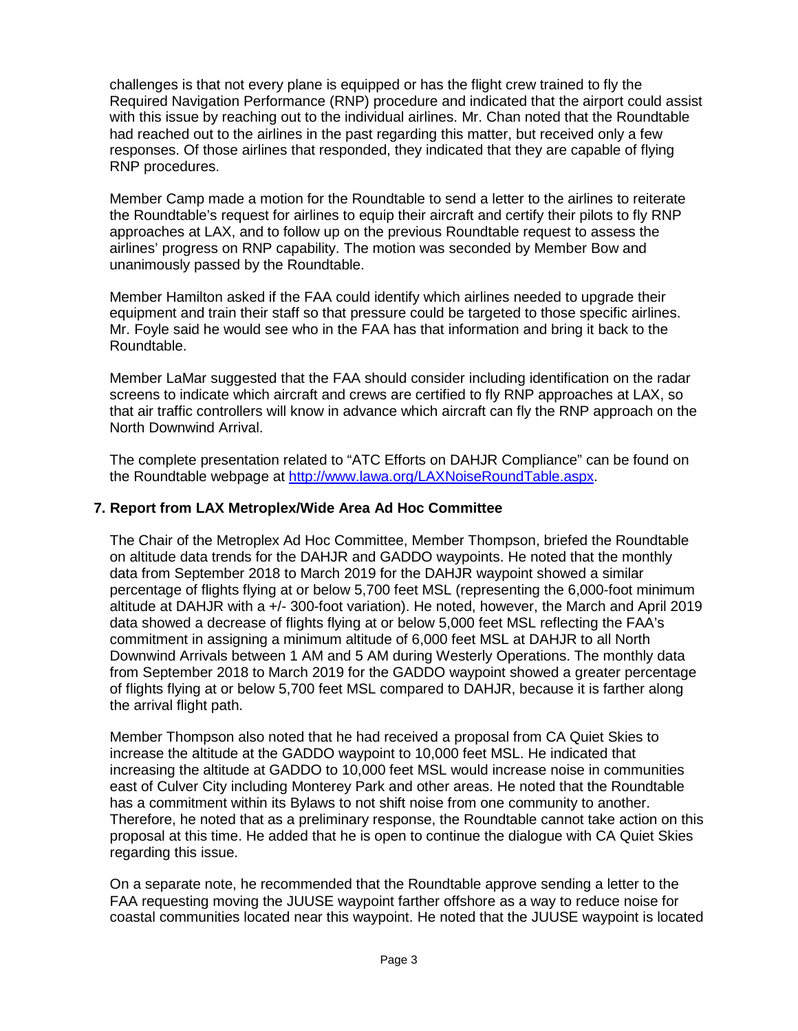challenges is that not every plane is equipped or has the flight crew trained to fly the Required Navigation Performance (RNP) procedure and indicated that the airport could assist with this issue by reaching out to the individual airlines. Mr. Chan noted that the Roundtable had reached out to the airlines in the past regarding this matter, but received only a few responses. Of those airlines that responded, they indicated that they are capable of flying RNP procedures.

Member Camp made a motion for the Roundtable to send a letter to the airlines to reiterate the Roundtable's request for airlines to equip their aircraft and certify their pilots to fly RNP approaches at LAX, and to follow up on the previous Roundtable request to assess the airlines' progress on RNP capability. The motion was seconded by Member Bow and unanimously passed by the Roundtable.

Member Hamilton asked if the FAA could identify which airlines needed to upgrade their equipment and train their staff so that pressure could be targeted to those specific airlines. Mr. Foyle said he would see who in the FAA has that information and bring it back to the Roundtable.

Member LaMar suggested that the FAA should consider including identification on the radar screens to indicate which aircraft and crews are certified to fly RNP approaches at LAX, so that air traffic controllers will know in advance which aircraft can fly the RNP approach on the North Downwind Arrival.

The complete presentation related to "ATC Efforts on DAHJR Compliance" can be found on the Roundtable webpage at [http://www.lawa.org/LAXNoiseRoundTable.aspx.](http://www.lawa.org/LAXNoiseRoundTable.aspx)

## **7. Report from LAX Metroplex/Wide Area Ad Hoc Committee**

The Chair of the Metroplex Ad Hoc Committee, Member Thompson, briefed the Roundtable on altitude data trends for the DAHJR and GADDO waypoints. He noted that the monthly data from September 2018 to March 2019 for the DAHJR waypoint showed a similar percentage of flights flying at or below 5,700 feet MSL (representing the 6,000-foot minimum altitude at DAHJR with a +/- 300-foot variation). He noted, however, the March and April 2019 data showed a decrease of flights flying at or below 5,000 feet MSL reflecting the FAA's commitment in assigning a minimum altitude of 6,000 feet MSL at DAHJR to all North Downwind Arrivals between 1 AM and 5 AM during Westerly Operations. The monthly data from September 2018 to March 2019 for the GADDO waypoint showed a greater percentage of flights flying at or below 5,700 feet MSL compared to DAHJR, because it is farther along the arrival flight path.

Member Thompson also noted that he had received a proposal from CA Quiet Skies to increase the altitude at the GADDO waypoint to 10,000 feet MSL. He indicated that increasing the altitude at GADDO to 10,000 feet MSL would increase noise in communities east of Culver City including Monterey Park and other areas. He noted that the Roundtable has a commitment within its Bylaws to not shift noise from one community to another. Therefore, he noted that as a preliminary response, the Roundtable cannot take action on this proposal at this time. He added that he is open to continue the dialogue with CA Quiet Skies regarding this issue.

On a separate note, he recommended that the Roundtable approve sending a letter to the FAA requesting moving the JUUSE waypoint farther offshore as a way to reduce noise for coastal communities located near this waypoint. He noted that the JUUSE waypoint is located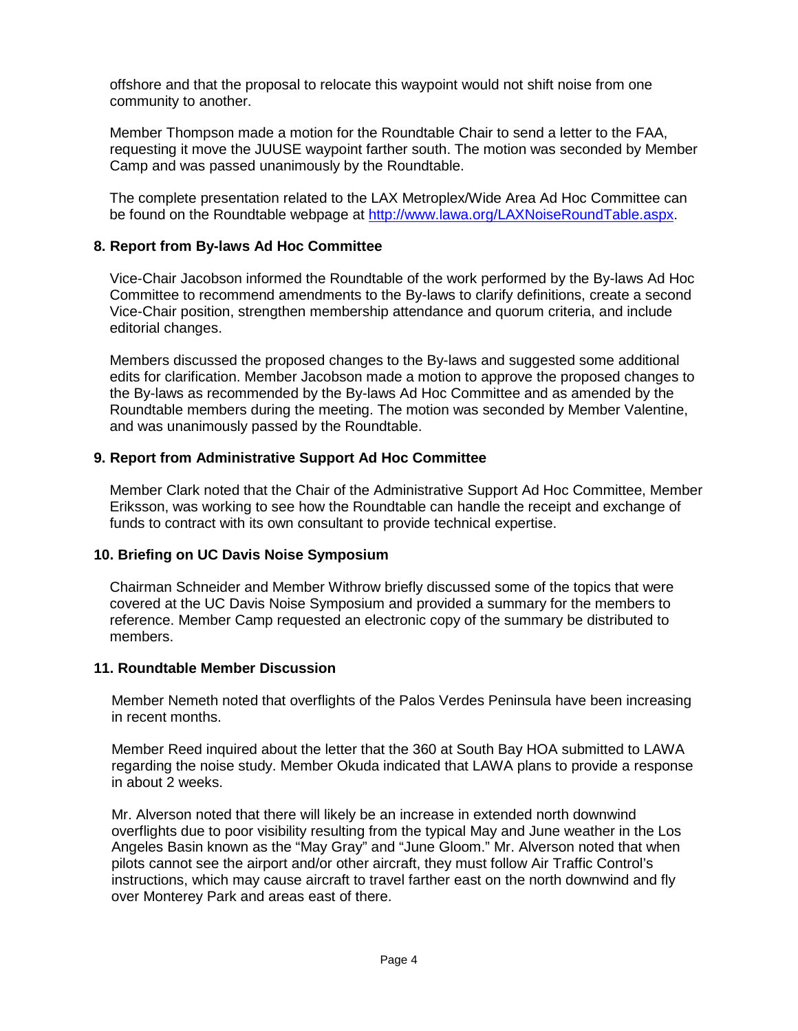offshore and that the proposal to relocate this waypoint would not shift noise from one community to another.

Member Thompson made a motion for the Roundtable Chair to send a letter to the FAA, requesting it move the JUUSE waypoint farther south. The motion was seconded by Member Camp and was passed unanimously by the Roundtable.

The complete presentation related to the LAX Metroplex/Wide Area Ad Hoc Committee can be found on the Roundtable webpage at [http://www.lawa.org/LAXNoiseRoundTable.aspx.](http://www.lawa.org/LAXNoiseRoundTable.aspx)

#### **8. Report from By-laws Ad Hoc Committee**

Vice-Chair Jacobson informed the Roundtable of the work performed by the By-laws Ad Hoc Committee to recommend amendments to the By-laws to clarify definitions, create a second Vice-Chair position, strengthen membership attendance and quorum criteria, and include editorial changes.

Members discussed the proposed changes to the By-laws and suggested some additional edits for clarification. Member Jacobson made a motion to approve the proposed changes to the By-laws as recommended by the By-laws Ad Hoc Committee and as amended by the Roundtable members during the meeting. The motion was seconded by Member Valentine, and was unanimously passed by the Roundtable.

## **9. Report from Administrative Support Ad Hoc Committee**

Member Clark noted that the Chair of the Administrative Support Ad Hoc Committee, Member Eriksson, was working to see how the Roundtable can handle the receipt and exchange of funds to contract with its own consultant to provide technical expertise.

#### **10. Briefing on UC Davis Noise Symposium**

Chairman Schneider and Member Withrow briefly discussed some of the topics that were covered at the UC Davis Noise Symposium and provided a summary for the members to reference. Member Camp requested an electronic copy of the summary be distributed to members.

#### **11. Roundtable Member Discussion**

Member Nemeth noted that overflights of the Palos Verdes Peninsula have been increasing in recent months.

Member Reed inquired about the letter that the 360 at South Bay HOA submitted to LAWA regarding the noise study. Member Okuda indicated that LAWA plans to provide a response in about 2 weeks.

Mr. Alverson noted that there will likely be an increase in extended north downwind overflights due to poor visibility resulting from the typical May and June weather in the Los Angeles Basin known as the "May Gray" and "June Gloom." Mr. Alverson noted that when pilots cannot see the airport and/or other aircraft, they must follow Air Traffic Control's instructions, which may cause aircraft to travel farther east on the north downwind and fly over Monterey Park and areas east of there.